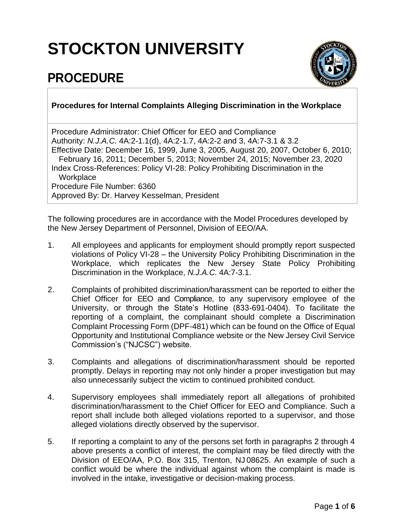## **STOCKTON UNIVERSITY**

## **PROCEDURE**



## **Procedures for Internal Complaints Alleging Discrimination in the Workplace**

Procedure Administrator: Chief Officer for EEO and Compliance Authority: *N.J.A.C.* 4A:2-1.1(d), 4A:2-1.7, 4A:2-2 and 3, 4A:7-3.1 & 3.2 Effective Date: December 16, 1999, June 3, 2005, August 20, 2007, October 6, 2010; February 16, 2011; December 5, 2013; November 24, 2015; November 23, 2020 Index Cross-References: Policy VI-28: Policy Prohibiting Discrimination in the **Workplace** Procedure File Number: 6360 Approved By: Dr. Harvey Kesselman, President

The following procedures are in accordance with the Model Procedures developed by the New Jersey Department of Personnel, Division of EEO/AA.

- 1. All employees and applicants for employment should promptly report suspected violations of Policy VI-28 – the University Policy Prohibiting Discrimination in the Workplace, which replicates the New Jersey State Policy Prohibiting Discrimination in the Workplace, *N.J.A.C.* 4A:7-3.1.
- 2. Complaints of prohibited discrimination/harassment can be reported to either the Chief Officer for EEO and Compliance, to any supervisory employee of the University, or through the State's Hotline (833-691-0404). To facilitate the reporting of a complaint, the complainant should complete a Discrimination Complaint Processing Form (DPF-481) which can be found on the Office of Equal Opportunity and Institutional Compliance website or the New Jersey Civil Service Commission's ("NJCSC") website.
- 3. Complaints and allegations of discrimination/harassment should be reported promptly. Delays in reporting may not only hinder a proper investigation but may also unnecessarily subject the victim to continued prohibited conduct.
- 4. Supervisory employees shall immediately report all allegations of prohibited discrimination/harassment to the Chief Officer for EEO and Compliance. Such a report shall include both alleged violations reported to a supervisor, and those alleged violations directly observed by the supervisor.
- 5. If reporting a complaint to any of the persons set forth in paragraphs 2 through 4 above presents a conflict of interest, the complaint may be filed directly with the Division of EEO/AA, P.O. Box 315, Trenton, NJ 08625. An example of such a conflict would be where the individual against whom the complaint is made is involved in the intake, investigative or decision-making process.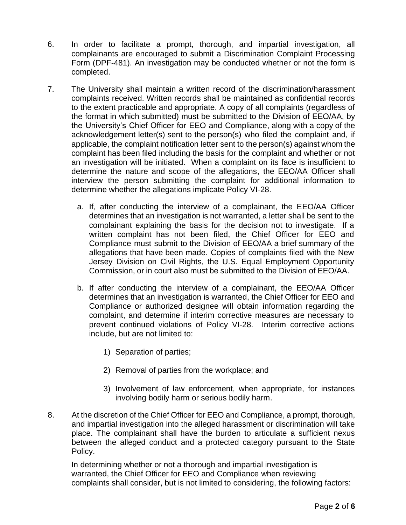- 6. In order to facilitate a prompt, thorough, and impartial investigation, all complainants are encouraged to submit a Discrimination Complaint Processing Form (DPF-481). An investigation may be conducted whether or not the form is completed.
- 7. The University shall maintain a written record of the discrimination/harassment complaints received. Written records shall be maintained as confidential records to the extent practicable and appropriate. A copy of all complaints (regardless of the format in which submitted) must be submitted to the Division of EEO/AA, by the University's Chief Officer for EEO and Compliance, along with a copy of the acknowledgement letter(s) sent to the person(s) who filed the complaint and, if applicable, the complaint notification letter sent to the person(s) against whom the complaint has been filed including the basis for the complaint and whether or not an investigation will be initiated. When a complaint on its face is insufficient to determine the nature and scope of the allegations, the EEO/AA Officer shall interview the person submitting the complaint for additional information to determine whether the allegations implicate Policy VI-28.
	- a. If, after conducting the interview of a complainant, the EEO/AA Officer determines that an investigation is not warranted, a letter shall be sent to the complainant explaining the basis for the decision not to investigate. If a written complaint has not been filed, the Chief Officer for EEO and Compliance must submit to the Division of EEO/AA a brief summary of the allegations that have been made. Copies of complaints filed with the New Jersey Division on Civil Rights, the U.S. Equal Employment Opportunity Commission, or in court also must be submitted to the Division of EEO/AA.
	- b. If after conducting the interview of a complainant, the EEO/AA Officer determines that an investigation is warranted, the Chief Officer for EEO and Compliance or authorized designee will obtain information regarding the complaint, and determine if interim corrective measures are necessary to prevent continued violations of Policy VI-28. Interim corrective actions include, but are not limited to:
		- 1) Separation of parties;
		- 2) Removal of parties from the workplace; and
		- 3) Involvement of law enforcement, when appropriate, for instances involving bodily harm or serious bodily harm.
- 8. At the discretion of the Chief Officer for EEO and Compliance, a prompt, thorough, and impartial investigation into the alleged harassment or discrimination will take place. The complainant shall have the burden to articulate a sufficient nexus between the alleged conduct and a protected category pursuant to the State Policy.

In determining whether or not a thorough and impartial investigation is warranted, the Chief Officer for EEO and Compliance when reviewing complaints shall consider, but is not limited to considering, the following factors: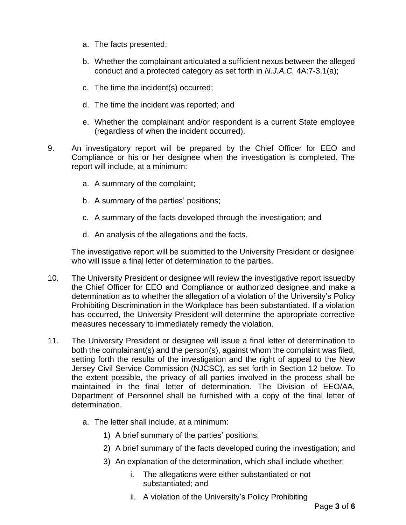- a. The facts presented;
- b. Whether the complainant articulated a sufficient nexus between the alleged conduct and a protected category as set forth in *N.J.A.C.* 4A:7-3.1(a);
- c. The time the incident(s) occurred;
- d. The time the incident was reported; and
- e. Whether the complainant and/or respondent is a current State employee (regardless of when the incident occurred).
- 9. An investigatory report will be prepared by the Chief Officer for EEO and Compliance or his or her designee when the investigation is completed. The report will include, at a minimum:
	- a. A summary of the complaint;
	- b. A summary of the parties' positions;
	- c. A summary of the facts developed through the investigation; and
	- d. An analysis of the allegations and the facts.

The investigative report will be submitted to the University President or designee who will issue a final letter of determination to the parties.

- 10. The University President or designee will review the investigative report issuedby the Chief Officer for EEO and Compliance or authorized designee,and make a determination as to whether the allegation of a violation of the University's Policy Prohibiting Discrimination in the Workplace has been substantiated. If a violation has occurred, the University President will determine the appropriate corrective measures necessary to immediately remedy the violation.
- 11. The University President or designee will issue a final letter of determination to both the complainant(s) and the person(s), against whom the complaint was filed, setting forth the results of the investigation and the right of appeal to the New Jersey Civil Service Commission (NJCSC), as set forth in Section 12 below. To the extent possible, the privacy of all parties involved in the process shall be maintained in the final letter of determination. The Division of EEO/AA, Department of Personnel shall be furnished with a copy of the final letter of determination.
	- a. The letter shall include, at a minimum:
		- 1) A brief summary of the parties' positions;
		- 2) A brief summary of the facts developed during the investigation; and
		- 3) An explanation of the determination, which shall include whether:
			- i. The allegations were either substantiated or not substantiated; and
			- ii. A violation of the University's Policy Prohibiting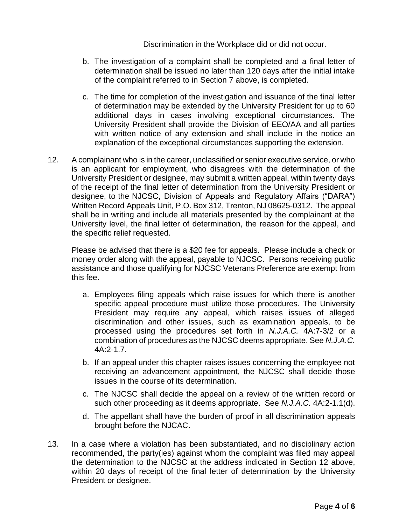Discrimination in the Workplace did or did not occur.

- b. The investigation of a complaint shall be completed and a final letter of determination shall be issued no later than 120 days after the initial intake of the complaint referred to in Section 7 above, is completed.
- c. The time for completion of the investigation and issuance of the final letter of determination may be extended by the University President for up to 60 additional days in cases involving exceptional circumstances. The University President shall provide the Division of EEO/AA and all parties with written notice of any extension and shall include in the notice an explanation of the exceptional circumstances supporting the extension.
- 12. A complainant who is in the career, unclassified or senior executive service, or who is an applicant for employment, who disagrees with the determination of the University President or designee, may submit a written appeal, within twenty days of the receipt of the final letter of determination from the University President or designee, to the NJCSC, Division of Appeals and Regulatory Affairs ("DARA") Written Record Appeals Unit, P.O. Box 312, Trenton, NJ 08625-0312. The appeal shall be in writing and include all materials presented by the complainant at the University level, the final letter of determination, the reason for the appeal, and the specific relief requested.

Please be advised that there is a \$20 fee for appeals. Please include a check or money order along with the appeal, payable to NJCSC. Persons receiving public assistance and those qualifying for NJCSC Veterans Preference are exempt from this fee.

- a. Employees filing appeals which raise issues for which there is another specific appeal procedure must utilize those procedures. The University President may require any appeal, which raises issues of alleged discrimination and other issues, such as examination appeals, to be processed using the procedures set forth in *N.J.A.C.* 4A:7-3/2 or a combination of procedures as the NJCSC deems appropriate. See *N.J.A.C.* 4A:2-1.7.
- b. If an appeal under this chapter raises issues concerning the employee not receiving an advancement appointment, the NJCSC shall decide those issues in the course of its determination.
- c. The NJCSC shall decide the appeal on a review of the written record or such other proceeding as it deems appropriate. See *N.J.A.C.* 4A:2-1.1(d).
- d. The appellant shall have the burden of proof in all discrimination appeals brought before the NJCAC.
- 13. In a case where a violation has been substantiated, and no disciplinary action recommended, the party(ies) against whom the complaint was filed may appeal the determination to the NJCSC at the address indicated in Section 12 above, within 20 days of receipt of the final letter of determination by the University President or designee.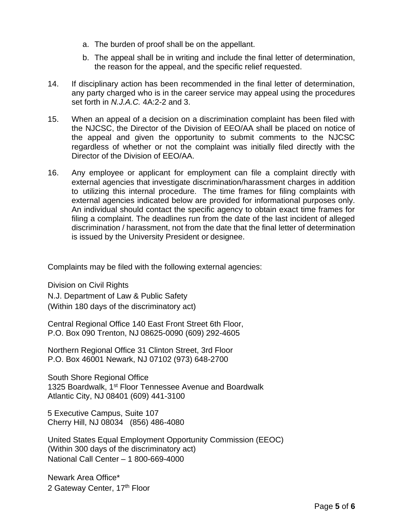- a. The burden of proof shall be on the appellant.
- b. The appeal shall be in writing and include the final letter of determination, the reason for the appeal, and the specific relief requested.
- 14. If disciplinary action has been recommended in the final letter of determination, any party charged who is in the career service may appeal using the procedures set forth in *N.J.A.C.* 4A:2-2 and 3.
- 15. When an appeal of a decision on a discrimination complaint has been filed with the NJCSC, the Director of the Division of EEO/AA shall be placed on notice of the appeal and given the opportunity to submit comments to the NJCSC regardless of whether or not the complaint was initially filed directly with the Director of the Division of EEO/AA.
- 16. Any employee or applicant for employment can file a complaint directly with external agencies that investigate discrimination/harassment charges in addition to utilizing this internal procedure. The time frames for filing complaints with external agencies indicated below are provided for informational purposes only. An individual should contact the specific agency to obtain exact time frames for filing a complaint. The deadlines run from the date of the last incident of alleged discrimination / harassment, not from the date that the final letter of determination is issued by the University President or designee.

Complaints may be filed with the following external agencies:

Division on Civil Rights N.J. Department of Law & Public Safety (Within 180 days of the discriminatory act)

Central Regional Office 140 East Front Street 6th Floor, P.O. Box 090 Trenton, NJ 08625-0090 (609) 292-4605

Northern Regional Office 31 Clinton Street, 3rd Floor P.O. Box 46001 Newark, NJ 07102 (973) 648-2700

South Shore Regional Office 1325 Boardwalk, 1<sup>st</sup> Floor Tennessee Avenue and Boardwalk Atlantic City, NJ 08401 (609) 441-3100

5 Executive Campus, Suite 107 Cherry Hill, NJ 08034 (856) 486-4080

United States Equal Employment Opportunity Commission (EEOC) (Within 300 days of the discriminatory act) National Call Center – 1 800-669-4000

Newark Area Office\* 2 Gateway Center, 17<sup>th</sup> Floor